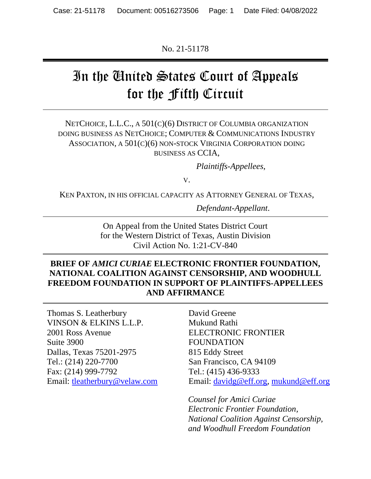No. 21-51178

# In the United States Court of Appeals for the Fifth Circuit

NETCHOICE, L.L.C., A 501(C)(6) DISTRICT OF COLUMBIA ORGANIZATION DOING BUSINESS AS NETCHOICE; COMPUTER & COMMUNICATIONS INDUSTRY ASSOCIATION, A 501(C)(6) NON-STOCK VIRGINIA CORPORATION DOING BUSINESS AS CCIA,

*Plaintiffs-Appellees*,

V.

KEN PAXTON, IN HIS OFFICIAL CAPACITY AS ATTORNEY GENERAL OF TEXAS,

*Defendant-Appellant*.

On Appeal from the United States District Court for the Western District of Texas, Austin Division Civil Action No. 1:21-CV-840

#### **BRIEF OF** *AMICI CURIAE* **ELECTRONIC FRONTIER FOUNDATION, NATIONAL COALITION AGAINST CENSORSHIP, AND WOODHULL FREEDOM FOUNDATION IN SUPPORT OF PLAINTIFFS-APPELLEES AND AFFIRMANCE**

Thomas S. Leatherbury VINSON & ELKINS L.L.P. 2001 Ross Avenue Suite 3900 Dallas, Texas 75201-2975 Tel.: (214) 220-7700 Fax: (214) 999-7792 Email: [tleatherbury@velaw.com](mailto:tleatherbury@velaw.com)

David Greene Mukund Rathi ELECTRONIC FRONTIER FOUNDATION 815 Eddy Street San Francisco, CA 94109 Tel.: (415) 436-9333 Email: [davidg@eff.org,](mailto:davidg@eff.org) [mukund@eff.org](mailto:mukund@eff.org)

*Counsel for Amici Curiae Electronic Frontier Foundation, National Coalition Against Censorship, and Woodhull Freedom Foundation*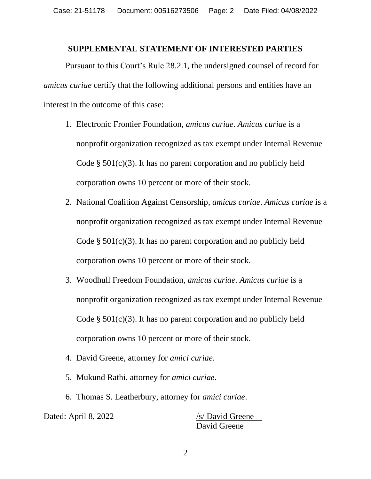#### **SUPPLEMENTAL STATEMENT OF INTERESTED PARTIES**

Pursuant to this Court's Rule 28.2.1, the undersigned counsel of record for *amicus curiae* certify that the following additional persons and entities have an interest in the outcome of this case:

- 1. Electronic Frontier Foundation, *amicus curiae*. *Amicus curiae* is a nonprofit organization recognized as tax exempt under Internal Revenue Code  $\S$  501(c)(3). It has no parent corporation and no publicly held corporation owns 10 percent or more of their stock.
- 2. National Coalition Against Censorship, *amicus curiae*. *Amicus curiae* is a nonprofit organization recognized as tax exempt under Internal Revenue Code  $\S$  501(c)(3). It has no parent corporation and no publicly held corporation owns 10 percent or more of their stock.
- 3. Woodhull Freedom Foundation, *amicus curiae*. *Amicus curiae* is a nonprofit organization recognized as tax exempt under Internal Revenue Code  $\S$  501(c)(3). It has no parent corporation and no publicly held corporation owns 10 percent or more of their stock.
- 4. David Greene, attorney for *amici curiae*.
- 5. Mukund Rathi, attorney for *amici curiae*.
- 6. Thomas S. Leatherbury, attorney for *amici curiae*.

Dated: April 8, 2022 /s/ David Greene

David Greene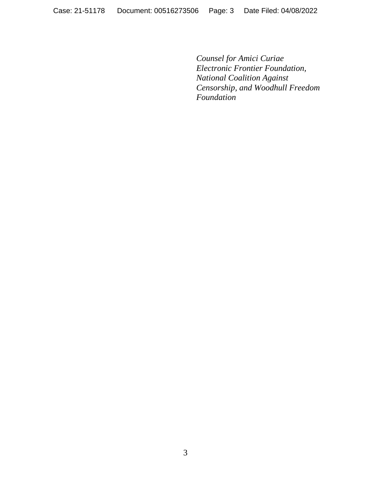*Counsel for Amici Curiae Electronic Frontier Foundation, National Coalition Against Censorship, and Woodhull Freedom Foundation*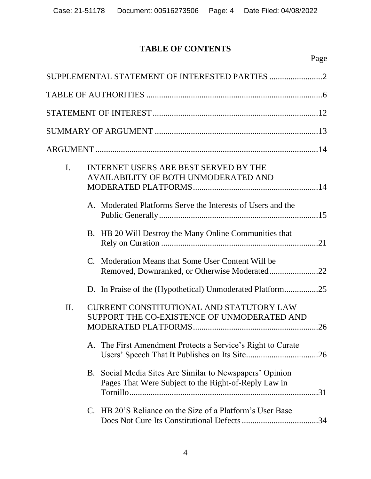# **TABLE OF CONTENTS**

|                |             | SUPPLEMENTAL STATEMENT OF INTERESTED PARTIES 2                                                                |
|----------------|-------------|---------------------------------------------------------------------------------------------------------------|
|                |             |                                                                                                               |
|                |             |                                                                                                               |
|                |             |                                                                                                               |
|                |             |                                                                                                               |
| $\mathbf{I}$ . |             | INTERNET USERS ARE BEST SERVED BY THE<br>AVAILABILITY OF BOTH UNMODERATED AND                                 |
|                |             | A. Moderated Platforms Serve the Interests of Users and the                                                   |
|                |             | B. HB 20 Will Destroy the Many Online Communities that                                                        |
|                | $C_{\cdot}$ | Moderation Means that Some User Content Will be                                                               |
|                |             | D. In Praise of the (Hypothetical) Unmoderated Platform25                                                     |
| II.            |             | <b>CURRENT CONSTITUTIONAL AND STATUTORY LAW</b><br>SUPPORT THE CO-EXISTENCE OF UNMODERATED AND<br>.26         |
|                |             | A. The First Amendment Protects a Service's Right to Curate                                                   |
|                | Β.          | Social Media Sites Are Similar to Newspapers' Opinion<br>Pages That Were Subject to the Right-of-Reply Law in |
|                | C.          | HB 20'S Reliance on the Size of a Platform's User Base                                                        |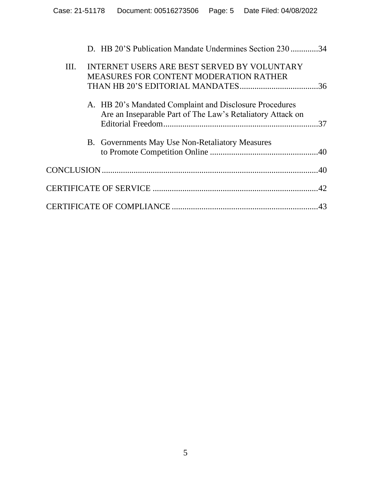|      | D. HB 20'S Publication Mandate Undermines Section 230 34                                                              |  |
|------|-----------------------------------------------------------------------------------------------------------------------|--|
| III. | INTERNET USERS ARE BEST SERVED BY VOLUNTARY<br><b>MEASURES FOR CONTENT MODERATION RATHER</b>                          |  |
|      | A. HB 20's Mandated Complaint and Disclosure Procedures<br>Are an Inseparable Part of The Law's Retaliatory Attack on |  |
|      | <b>B.</b> Governments May Use Non-Retaliatory Measures                                                                |  |
|      |                                                                                                                       |  |
|      |                                                                                                                       |  |
|      |                                                                                                                       |  |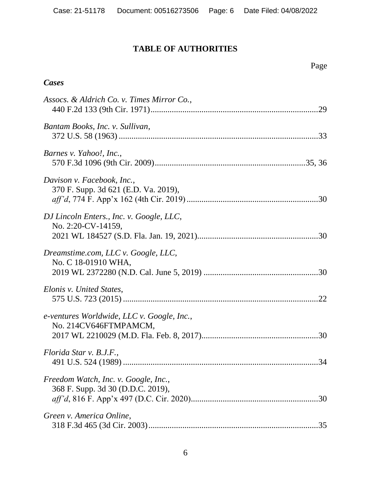# **TABLE OF AUTHORITIES**

Page

# *Cases*

| Assocs. & Aldrich Co. v. Times Mirror Co.,                                |
|---------------------------------------------------------------------------|
| Bantam Books, Inc. v. Sullivan,                                           |
| Barnes v. Yahoo!, Inc.,                                                   |
| Davison v. Facebook, Inc.,<br>370 F. Supp. 3d 621 (E.D. Va. 2019),        |
| DJ Lincoln Enters., Inc. v. Google, LLC,<br>No. 2:20-CV-14159,            |
| Dreamstime.com, LLC v. Google, LLC,<br>No. C 18-01910 WHA,                |
| Elonis v. United States,                                                  |
| e-ventures Worldwide, LLC v. Google, Inc.,<br>No. 214CV646FTMPAMCM,       |
| Florida Star v. B.J.F.,<br>491 U.S. 524 (1989)<br>34                      |
| Freedom Watch, Inc. v. Google, Inc.,<br>368 F. Supp. 3d 30 (D.D.C. 2019), |
| Green v. America Online,                                                  |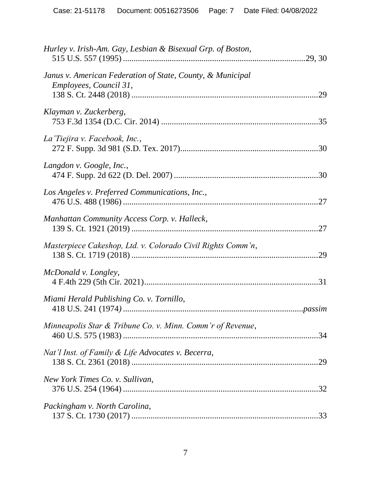| Hurley v. Irish-Am. Gay, Lesbian & Bisexual Grp. of Boston,                          |
|--------------------------------------------------------------------------------------|
| Janus v. American Federation of State, County, & Municipal<br>Employees, Council 31, |
| Klayman v. Zuckerberg,                                                               |
| La Tiejira v. Facebook, Inc.,                                                        |
| Langdon v. Google, Inc.,                                                             |
| Los Angeles v. Preferred Communications, Inc.,                                       |
| Manhattan Community Access Corp. v. Halleck,                                         |
| Masterpiece Cakeshop, Ltd. v. Colorado Civil Rights Comm'n,                          |
| McDonald v. Longley,                                                                 |
| Miami Herald Publishing Co. v. Tornillo,                                             |
| Minneapolis Star & Tribune Co. v. Minn. Comm'r of Revenue,                           |
| Nat'l Inst. of Family & Life Advocates v. Becerra,                                   |
| New York Times Co. v. Sullivan,                                                      |
| Packingham v. North Carolina,                                                        |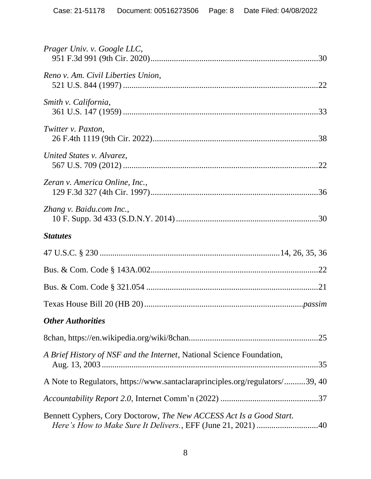| Prager Univ. v. Google LLC,                                                  |  |
|------------------------------------------------------------------------------|--|
| Reno v. Am. Civil Liberties Union,                                           |  |
| Smith v. California,                                                         |  |
| Twitter v. Paxton,                                                           |  |
| United States v. Alvarez,                                                    |  |
| Zeran v. America Online, Inc.,                                               |  |
| Zhang v. Baidu.com Inc.,                                                     |  |
| <b>Statutes</b>                                                              |  |
|                                                                              |  |
|                                                                              |  |
|                                                                              |  |
|                                                                              |  |
|                                                                              |  |
| <b>Other Authorities</b>                                                     |  |
|                                                                              |  |
| A Brief History of NSF and the Internet, National Science Foundation,        |  |
| A Note to Regulators, https://www.santaclaraprinciples.org/regulators/39, 40 |  |
|                                                                              |  |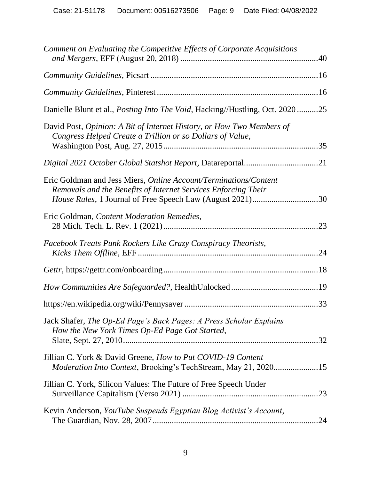| Comment on Evaluating the Competitive Effects of Corporate Acquisitions                                                               |     |
|---------------------------------------------------------------------------------------------------------------------------------------|-----|
|                                                                                                                                       |     |
|                                                                                                                                       |     |
| Danielle Blunt et al., <i>Posting Into The Void</i> , Hacking//Hustling, Oct. 202025                                                  |     |
| David Post, Opinion: A Bit of Internet History, or How Two Members of<br>Congress Helped Create a Trillion or so Dollars of Value,    |     |
|                                                                                                                                       |     |
| Eric Goldman and Jess Miers, Online Account/Terminations/Content<br>Removals and the Benefits of Internet Services Enforcing Their    |     |
| Eric Goldman, Content Moderation Remedies,                                                                                            | .23 |
| Facebook Treats Punk Rockers Like Crazy Conspiracy Theorists,                                                                         |     |
|                                                                                                                                       |     |
|                                                                                                                                       |     |
|                                                                                                                                       |     |
| Jack Shafer, The Op-Ed Page's Back Pages: A Press Scholar Explains<br>How the New York Times Op-Ed Page Got Started,                  |     |
| Jillian C. York & David Greene, How to Put COVID-19 Content<br><i>Moderation Into Context</i> , Brooking's TechStream, May 21, 202015 |     |
| Jillian C. York, Silicon Values: The Future of Free Speech Under                                                                      |     |
| Kevin Anderson, YouTube Suspends Egyptian Blog Activist's Account,                                                                    |     |
|                                                                                                                                       |     |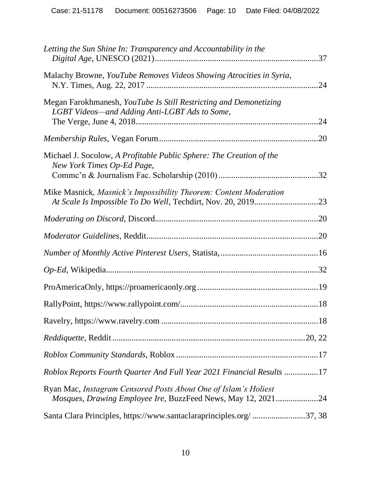| Letting the Sun Shine In: Transparency and Accountability in the                                                                       |  |
|----------------------------------------------------------------------------------------------------------------------------------------|--|
| Malachy Browne, YouTube Removes Videos Showing Atrocities in Syria,                                                                    |  |
| Megan Farokhmanesh, YouTube Is Still Restricting and Demonetizing<br>LGBT Videos—and Adding Anti-LGBT Ads to Some,                     |  |
|                                                                                                                                        |  |
| Michael J. Socolow, A Profitable Public Sphere: The Creation of the<br>New York Times Op-Ed Page,                                      |  |
| Mike Masnick, Masnick's Impossibility Theorem: Content Moderation                                                                      |  |
|                                                                                                                                        |  |
|                                                                                                                                        |  |
|                                                                                                                                        |  |
|                                                                                                                                        |  |
|                                                                                                                                        |  |
|                                                                                                                                        |  |
|                                                                                                                                        |  |
|                                                                                                                                        |  |
|                                                                                                                                        |  |
| Roblox Reports Fourth Quarter And Full Year 2021 Financial Results 17                                                                  |  |
| Ryan Mac, Instagram Censored Posts About One of Islam's Holiest<br><i>Mosques, Drawing Employee Ire, BuzzFeed News, May 12, 202124</i> |  |
| Santa Clara Principles, https://www.santaclaraprinciples.org/ 37, 38                                                                   |  |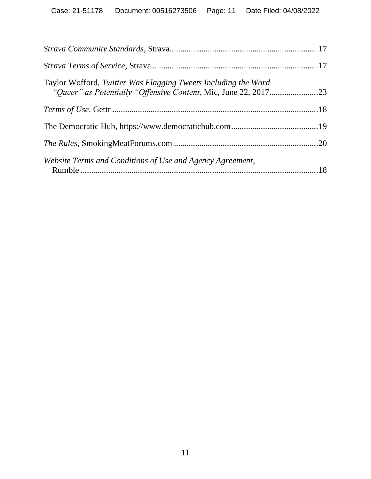| Taylor Wofford, Twitter Was Flagging Tweets Including the Word |  |
|----------------------------------------------------------------|--|
|                                                                |  |
|                                                                |  |
|                                                                |  |
| Website Terms and Conditions of Use and Agency Agreement,      |  |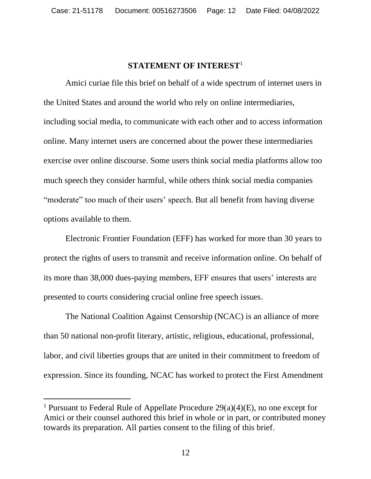#### **STATEMENT OF INTEREST**<sup>1</sup>

Amici curiae file this brief on behalf of a wide spectrum of internet users in the United States and around the world who rely on online intermediaries, including social media, to communicate with each other and to access information online. Many internet users are concerned about the power these intermediaries exercise over online discourse. Some users think social media platforms allow too much speech they consider harmful, while others think social media companies "moderate" too much of their users' speech. But all benefit from having diverse options available to them.

Electronic Frontier Foundation (EFF) has worked for more than 30 years to protect the rights of users to transmit and receive information online. On behalf of its more than 38,000 dues-paying members, EFF ensures that users' interests are presented to courts considering crucial online free speech issues.

The National Coalition Against Censorship (NCAC) is an alliance of more than 50 national non-profit literary, artistic, religious, educational, professional, labor, and civil liberties groups that are united in their commitment to freedom of expression. Since its founding, NCAC has worked to protect the First Amendment

<sup>&</sup>lt;sup>1</sup> Pursuant to Federal Rule of Appellate Procedure  $29(a)(4)(E)$ , no one except for Amici or their counsel authored this brief in whole or in part, or contributed money towards its preparation. All parties consent to the filing of this brief.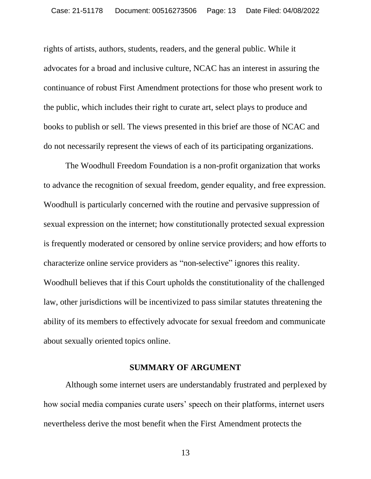rights of artists, authors, students, readers, and the general public. While it advocates for a broad and inclusive culture, NCAC has an interest in assuring the continuance of robust First Amendment protections for those who present work to the public, which includes their right to curate art, select plays to produce and books to publish or sell. The views presented in this brief are those of NCAC and do not necessarily represent the views of each of its participating organizations.

The Woodhull Freedom Foundation is a non-profit organization that works to advance the recognition of sexual freedom, gender equality, and free expression. Woodhull is particularly concerned with the routine and pervasive suppression of sexual expression on the internet; how constitutionally protected sexual expression is frequently moderated or censored by online service providers; and how efforts to characterize online service providers as "non-selective" ignores this reality. Woodhull believes that if this Court upholds the constitutionality of the challenged law, other jurisdictions will be incentivized to pass similar statutes threatening the ability of its members to effectively advocate for sexual freedom and communicate about sexually oriented topics online.

#### **SUMMARY OF ARGUMENT**

Although some internet users are understandably frustrated and perplexed by how social media companies curate users' speech on their platforms, internet users nevertheless derive the most benefit when the First Amendment protects the

13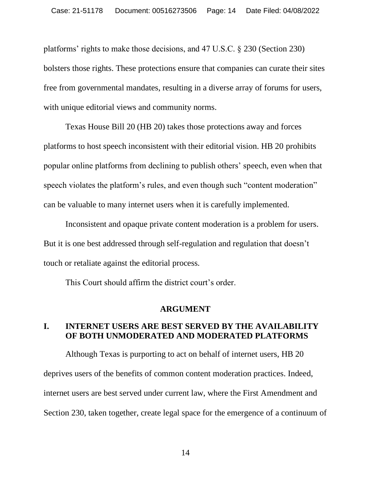platforms' rights to make those decisions, and 47 U.S.C. § 230 (Section 230) bolsters those rights. These protections ensure that companies can curate their sites free from governmental mandates, resulting in a diverse array of forums for users, with unique editorial views and community norms.

Texas House Bill 20 (HB 20) takes those protections away and forces platforms to host speech inconsistent with their editorial vision. HB 20 prohibits popular online platforms from declining to publish others' speech, even when that speech violates the platform's rules, and even though such "content moderation" can be valuable to many internet users when it is carefully implemented.

Inconsistent and opaque private content moderation is a problem for users. But it is one best addressed through self-regulation and regulation that doesn't touch or retaliate against the editorial process.

This Court should affirm the district court's order.

#### **ARGUMENT**

#### **I. INTERNET USERS ARE BEST SERVED BY THE AVAILABILITY OF BOTH UNMODERATED AND MODERATED PLATFORMS**

Although Texas is purporting to act on behalf of internet users, HB 20 deprives users of the benefits of common content moderation practices. Indeed, internet users are best served under current law, where the First Amendment and Section 230, taken together, create legal space for the emergence of a continuum of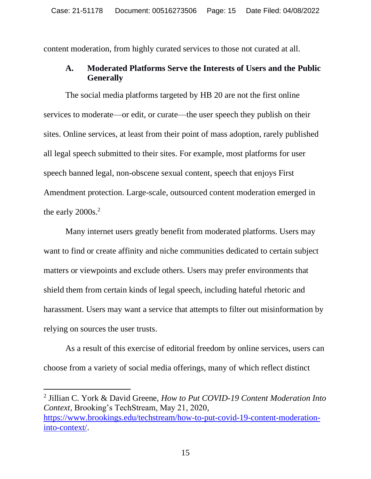content moderation, from highly curated services to those not curated at all.

#### **A. Moderated Platforms Serve the Interests of Users and the Public Generally**

The social media platforms targeted by HB 20 are not the first online services to moderate—or edit, or curate—the user speech they publish on their sites. Online services, at least from their point of mass adoption, rarely published all legal speech submitted to their sites. For example, most platforms for user speech banned legal, non-obscene sexual content, speech that enjoys First Amendment protection. Large-scale, outsourced content moderation emerged in the early 2000s.<sup>2</sup>

Many internet users greatly benefit from moderated platforms. Users may want to find or create affinity and niche communities dedicated to certain subject matters or viewpoints and exclude others. Users may prefer environments that shield them from certain kinds of legal speech, including hateful rhetoric and harassment. Users may want a service that attempts to filter out misinformation by relying on sources the user trusts.

As a result of this exercise of editorial freedom by online services, users can choose from a variety of social media offerings, many of which reflect distinct

2 Jillian C. York & David Greene, *How to Put COVID-19 Content Moderation Into Context*, Brooking's TechStream, May 21, 2020, [https://www.brookings.edu/techstream/how-to-put-covid-19-content-moderation](https://www.brookings.edu/techstream/how-to-put-covid-19-content-moderation-into-context/)[into-context/.](https://www.brookings.edu/techstream/how-to-put-covid-19-content-moderation-into-context/)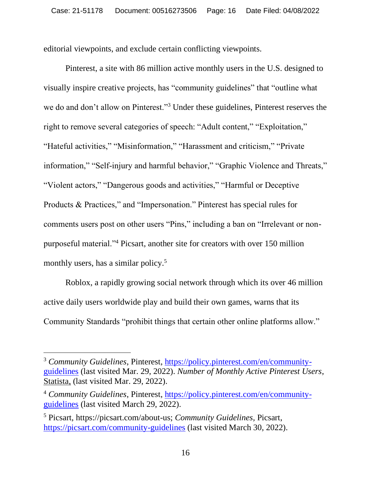editorial viewpoints, and exclude certain conflicting viewpoints.

Pinterest, a site with 86 million active monthly users in the U.S. designed to visually inspire creative projects, has "community guidelines" that "outline what we do and don't allow on Pinterest."<sup>3</sup> Under these guidelines, Pinterest reserves the right to remove several categories of speech: "Adult content," "Exploitation," "Hateful activities," "Misinformation," "Harassment and criticism," "Private information," "Self-injury and harmful behavior," "Graphic Violence and Threats," "Violent actors," "Dangerous goods and activities," "Harmful or Deceptive Products & Practices," and "Impersonation." Pinterest has special rules for comments users post on other users "Pins," including a ban on "Irrelevant or nonpurposeful material."<sup>4</sup> Picsart, another site for creators with over 150 million monthly users, has a similar policy.<sup>5</sup>

Roblox, a rapidly growing social network through which its over 46 million active daily users worldwide play and build their own games, warns that its Community Standards "prohibit things that certain other online platforms allow."

<sup>3</sup> *Community Guidelines*, Pinterest, [https://policy.pinterest.com/en/community](https://policy.pinterest.com/en/community-guidelines)[guidelines](https://policy.pinterest.com/en/community-guidelines) (last visited Mar. 29, 2022). *Number of Monthly Active Pinterest Users*, Statista, (last visited Mar. 29, 2022).

<sup>4</sup> *Community Guidelines*, Pinterest, [https://policy.pinterest.com/en/community](https://policy.pinterest.com/en/community-guidelines)[guidelines](https://policy.pinterest.com/en/community-guidelines) (last visited March 29, 2022).

<sup>5</sup> Picsart, https://picsart.com/about-us; *Community Guidelines,* Picsart, <https://picsart.com/community-guidelines> (last visited March 30, 2022).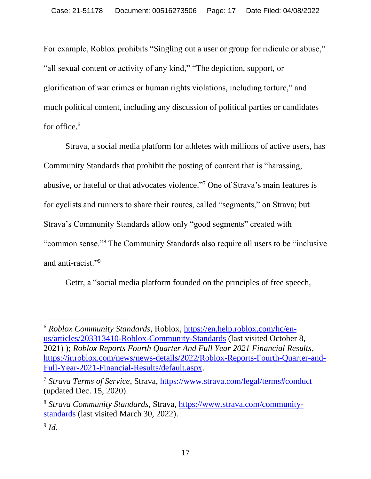For example, Roblox prohibits "Singling out a user or group for ridicule or abuse," "all sexual content or activity of any kind," "The depiction, support, or glorification of war crimes or human rights violations, including torture," and much political content, including any discussion of political parties or candidates for office.<sup>6</sup>

Strava, a social media platform for athletes with millions of active users, has Community Standards that prohibit the posting of content that is "harassing, abusive, or hateful or that advocates violence." <sup>7</sup> One of Strava's main features is for cyclists and runners to share their routes, called "segments," on Strava; but Strava's Community Standards allow only "good segments" created with "common sense."<sup>8</sup> The Community Standards also require all users to be "inclusive and anti-racist."<sup>9</sup>

Gettr, a "social media platform founded on the principles of free speech,

<sup>6</sup> *Roblox Community Standards*, Roblox, [https://en.help.roblox.com/hc/en](https://en.help.roblox.com/hc/en-us/articles/203313410-Roblox-Community-Standards)[us/articles/203313410-Roblox-Community-Standards](https://en.help.roblox.com/hc/en-us/articles/203313410-Roblox-Community-Standards) (last visited October 8, 2021) ); *Roblox Reports Fourth Quarter And Full Year 2021 Financial Results*, [https://ir.roblox.com/news/news-details/2022/Roblox-Reports-Fourth-Quarter-and-](https://ir.roblox.com/news/news-details/2022/Roblox-Reports-Fourth-Quarter-and-Full-Year-2021-Financial-Results/default.aspx)[Full-Year-2021-Financial-Results/default.aspx.](https://ir.roblox.com/news/news-details/2022/Roblox-Reports-Fourth-Quarter-and-Full-Year-2021-Financial-Results/default.aspx)

<sup>7</sup> *Strava Terms of Service*, Strava,<https://www.strava.com/legal/terms#conduct> (updated Dec. 15, 2020).

<sup>8</sup> *Strava Community Standards*, Strava, [https://www.strava.com/community](https://www.strava.com/community-standards)[standards](https://www.strava.com/community-standards) (last visited March 30, 2022).

<sup>9</sup> *Id*.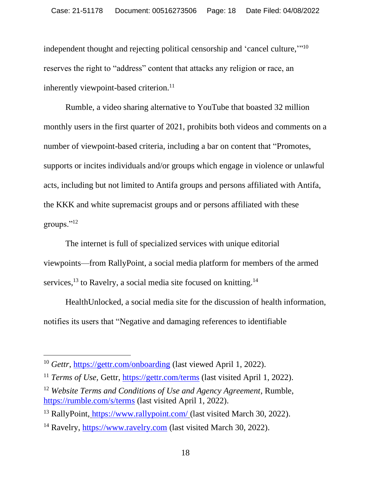independent thought and rejecting political censorship and 'cancel culture,"<sup>10</sup> reserves the right to "address" content that attacks any religion or race, an inherently viewpoint-based criterion.<sup>11</sup>

Rumble, a video sharing alternative to YouTube that boasted 32 million monthly users in the first quarter of 2021, prohibits both videos and comments on a number of viewpoint-based criteria, including a bar on content that "Promotes, supports or incites individuals and/or groups which engage in violence or unlawful acts, including but not limited to Antifa groups and persons affiliated with Antifa, the KKK and white supremacist groups and or persons affiliated with these groups."<sup>12</sup>

The internet is full of specialized services with unique editorial viewpoints—from RallyPoint, a social media platform for members of the armed services,  $^{13}$  to Ravelry, a social media site focused on knitting.<sup>14</sup>

HealthUnlocked, a social media site for the discussion of health information, notifies its users that "Negative and damaging references to identifiable

<sup>&</sup>lt;sup>10</sup> *Gettr*,<https://gettr.com/onboarding> (last viewed April 1, 2022).

<sup>&</sup>lt;sup>11</sup> *Terms of Use*, Gettr,<https://gettr.com/terms> (last visited April 1, 2022).

<sup>12</sup> *Website Terms and Conditions of Use and Agency Agreement*, Rumble, <https://rumble.com/s/terms> (last visited April 1, 2022).

<sup>&</sup>lt;sup>13</sup> RallyPoint, <https://www.rallypoint.com/> (last visited March 30, 2022).

<sup>&</sup>lt;sup>14</sup> Ravelry, [https://www.ravelry.com](https://www.ravelry.com/) (last visited March 30, 2022).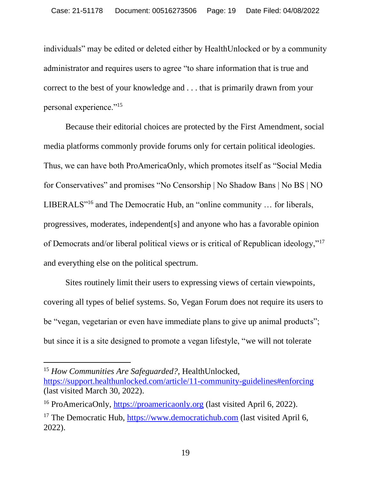individuals" may be edited or deleted either by HealthUnlocked or by a community administrator and requires users to agree "to share information that is true and correct to the best of your knowledge and . . . that is primarily drawn from your personal experience."<sup>15</sup>

Because their editorial choices are protected by the First Amendment, social media platforms commonly provide forums only for certain political ideologies. Thus, we can have both ProAmericaOnly, which promotes itself as "Social Media for Conservatives" and promises "No Censorship | No Shadow Bans | No BS | NO LIBERALS"<sup>16</sup> and The Democratic Hub, an "online community ... for liberals, progressives, moderates, independent[s] and anyone who has a favorable opinion of Democrats and/or liberal political views or is critical of Republican ideology,"<sup>17</sup> and everything else on the political spectrum.

Sites routinely limit their users to expressing views of certain viewpoints, covering all types of belief systems. So, Vegan Forum does not require its users to be "vegan, vegetarian or even have immediate plans to give up animal products"; but since it is a site designed to promote a vegan lifestyle, "we will not tolerate

<sup>15</sup> *How Communities Are Safeguarded?*, HealthUnlocked, <https://support.healthunlocked.com/article/11-community-guidelines#enforcing>

<sup>(</sup>last visited March 30, 2022).

<sup>&</sup>lt;sup>16</sup> ProAmericaOnly, [https://proamericaonly.org](https://proamericaonly.org/) (last visited April 6, 2022).

<sup>&</sup>lt;sup>17</sup> The Democratic Hub, [https://www.democratichub.com](https://www.democratichub.com/) (last visited April 6, 2022).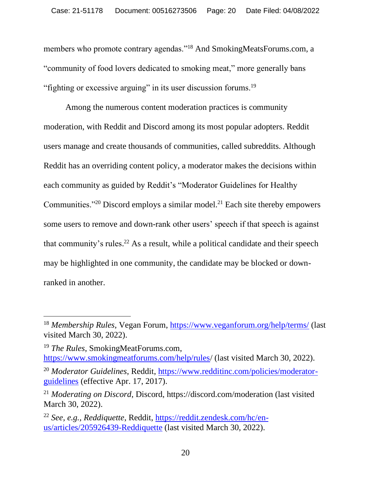members who promote contrary agendas."<sup>18</sup> And SmokingMeatsForums.com, a "community of food lovers dedicated to smoking meat," more generally bans "fighting or excessive arguing" in its user discussion forums.<sup>19</sup>

Among the numerous content moderation practices is community moderation, with Reddit and Discord among its most popular adopters. Reddit users manage and create thousands of communities, called subreddits. Although Reddit has an overriding content policy, a moderator makes the decisions within each community as guided by Reddit's "Moderator Guidelines for Healthy Communities."<sup>20</sup> Discord employs a similar model.<sup>21</sup> Each site thereby empowers some users to remove and down-rank other users' speech if that speech is against that community's rules.<sup>22</sup> As a result, while a political candidate and their speech may be highlighted in one community, the candidate may be blocked or downranked in another.

<sup>18</sup> *Membership Rules*, Vegan Forum,<https://www.veganforum.org/help/terms/> (last visited March 30, 2022).

<sup>19</sup> *The Rules*, SmokingMeatForums.com, <https://www.smokingmeatforums.com/help/rules/> (last visited March 30, 2022).

<sup>&</sup>lt;sup>20</sup> Moderator Guidelines, Reddit, [https://www.redditinc.com/policies/moderator](https://www.redditinc.com/policies/moderator-guidelines)[guidelines](https://www.redditinc.com/policies/moderator-guidelines) (effective Apr. 17, 2017).

<sup>21</sup> *Moderating on Discord*, Discord, https://discord.com/moderation (last visited March 30, 2022).

<sup>22</sup> *See, e.g., Reddiquette*, Reddit, [https://reddit.zendesk.com/hc/en](https://reddit.zendesk.com/hc/en-us/articles/205926439-Reddiquette)[us/articles/205926439-Reddiquette](https://reddit.zendesk.com/hc/en-us/articles/205926439-Reddiquette) (last visited March 30, 2022).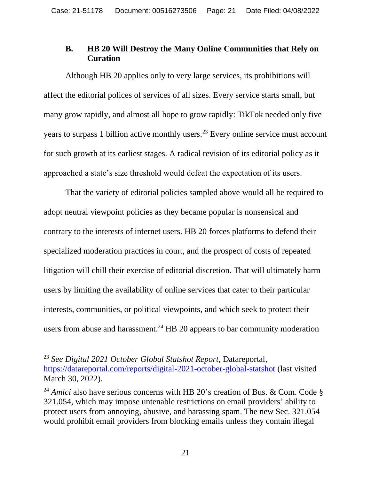#### **B. HB 20 Will Destroy the Many Online Communities that Rely on Curation**

Although HB 20 applies only to very large services, its prohibitions will affect the editorial polices of services of all sizes. Every service starts small, but many grow rapidly, and almost all hope to grow rapidly: TikTok needed only five years to surpass 1 billion active monthly users.<sup>23</sup> Every online service must account for such growth at its earliest stages. A radical revision of its editorial policy as it approached a state's size threshold would defeat the expectation of its users.

That the variety of editorial policies sampled above would all be required to adopt neutral viewpoint policies as they became popular is nonsensical and contrary to the interests of internet users. HB 20 forces platforms to defend their specialized moderation practices in court, and the prospect of costs of repeated litigation will chill their exercise of editorial discretion. That will ultimately harm users by limiting the availability of online services that cater to their particular interests, communities, or political viewpoints, and which seek to protect their users from abuse and harassment.<sup>24</sup> HB 20 appears to bar community moderation

<sup>23</sup> *See Digital 2021 October Global Statshot Report*, Datareportal, <https://datareportal.com/reports/digital-2021-october-global-statshot> (last visited March 30, 2022).

<sup>&</sup>lt;sup>24</sup> *Amici* also have serious concerns with HB 20's creation of Bus. & Com. Code § 321.054, which may impose untenable restrictions on email providers' ability to protect users from annoying, abusive, and harassing spam. The new Sec. 321.054 would prohibit email providers from blocking emails unless they contain illegal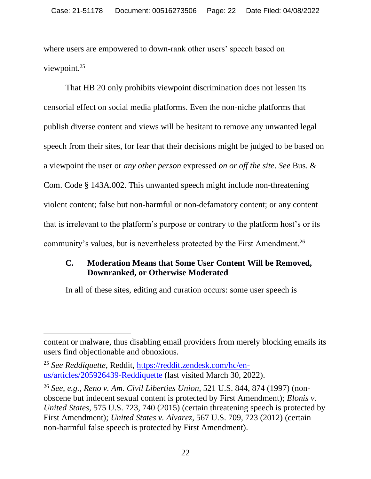where users are empowered to down-rank other users' speech based on viewpoint.<sup>25</sup>

That HB 20 only prohibits viewpoint discrimination does not lessen its censorial effect on social media platforms. Even the non-niche platforms that publish diverse content and views will be hesitant to remove any unwanted legal speech from their sites, for fear that their decisions might be judged to be based on a viewpoint the user or *any other person* expressed *on or off the site*. *See* Bus. & Com. Code § 143A.002. This unwanted speech might include non-threatening violent content; false but non-harmful or non-defamatory content; or any content that is irrelevant to the platform's purpose or contrary to the platform host's or its community's values, but is nevertheless protected by the First Amendment.<sup>26</sup>

#### **C. Moderation Means that Some User Content Will be Removed, Downranked, or Otherwise Moderated**

In all of these sites, editing and curation occurs: some user speech is

content or malware, thus disabling email providers from merely blocking emails its users find objectionable and obnoxious.

<sup>25</sup> *See Reddiquette*, Reddit, [https://reddit.zendesk.com/hc/en](https://reddit.zendesk.com/hc/en-us/articles/205926439-Reddiquette)[us/articles/205926439-Reddiquette](https://reddit.zendesk.com/hc/en-us/articles/205926439-Reddiquette) (last visited March 30, 2022).

<sup>26</sup> *See, e.g., Reno v. Am. Civil Liberties Union*, 521 U.S. 844, 874 (1997) (nonobscene but indecent sexual content is protected by First Amendment); *Elonis v. United States*, 575 U.S. 723, 740 (2015) (certain threatening speech is protected by First Amendment); *United States v. Alvarez*, 567 U.S. 709, 723 (2012) (certain non-harmful false speech is protected by First Amendment).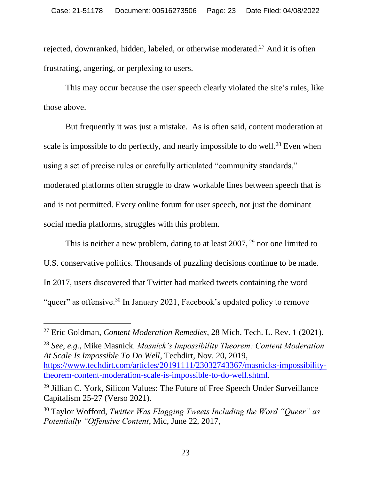rejected, downranked, hidden, labeled, or otherwise moderated.<sup>27</sup> And it is often frustrating, angering, or perplexing to users.

This may occur because the user speech clearly violated the site's rules, like those above.

But frequently it was just a mistake. As is often said, content moderation at scale is impossible to do perfectly, and nearly impossible to do well.<sup>28</sup> Even when using a set of precise rules or carefully articulated "community standards," moderated platforms often struggle to draw workable lines between speech that is and is not permitted. Every online forum for user speech, not just the dominant social media platforms, struggles with this problem.

This is neither a new problem, dating to at least 2007, <sup>29</sup> nor one limited to U.S. conservative politics. Thousands of puzzling decisions continue to be made. In 2017, users discovered that Twitter had marked tweets containing the word "queer" as offensive.<sup>30</sup> In January 2021, Facebook's updated policy to remove

<sup>28</sup> *See, e.g.*, Mike Masnick*, Masnick's Impossibility Theorem: Content Moderation At Scale Is Impossible To Do Well*, Techdirt, Nov. 20, 2019, [https://www.techdirt.com/articles/20191111/23032743367/masnicks-impossibility](https://www.techdirt.com/articles/20191111/23032743367/masnicks-impossibility-theorem-content-moderation-scale-is-impossible-to-do-well.shtml)[theorem-content-moderation-scale-is-impossible-to-do-well.shtml.](https://www.techdirt.com/articles/20191111/23032743367/masnicks-impossibility-theorem-content-moderation-scale-is-impossible-to-do-well.shtml)

<sup>27</sup> Eric Goldman, *Content Moderation Remedies*, 28 Mich. Tech. L. Rev. 1 (2021).

<sup>&</sup>lt;sup>29</sup> Jillian C. York, Silicon Values: The Future of Free Speech Under Surveillance Capitalism 25-27 (Verso 2021).

<sup>30</sup> Taylor Wofford, *Twitter Was Flagging Tweets Including the Word "Queer" as Potentially "Offensive Content*, Mic, June 22, 2017,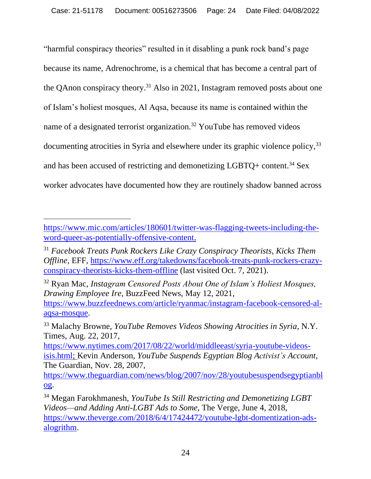"harmful conspiracy theories" resulted in it disabling a punk rock band's page because its name, Adrenochrome, is a chemical that has become a central part of the QAnon conspiracy theory.<sup>31</sup> Also in 2021, Instagram removed posts about one of Islam's holiest mosques, Al Aqsa, because its name is contained within the name of a designated terrorist organization.<sup>32</sup> YouTube has removed videos documenting atrocities in Syria and elsewhere under its graphic violence policy,<sup>33</sup> and has been accused of restricting and demonetizing LGBTQ+ content.<sup>34</sup> Sex worker advocates have documented how they are routinely shadow banned across

[https://www.nytimes.com/2017/08/22/world/middleeast/syria-youtube-videos](https://www.nytimes.com/2017/08/22/world/middleeast/syria-youtube-videos-isis.html)[isis.html;](https://www.nytimes.com/2017/08/22/world/middleeast/syria-youtube-videos-isis.html) Kevin Anderson, *YouTube Suspends Egyptian Blog Activist's Account*, The Guardian, Nov. 28, 2007,

[https://www.theguardian.com/news/blog/2007/nov/28/youtubesuspendsegyptianbl](https://www.theguardian.com/news/blog/2007/nov/28/youtubesuspendsegyptianblog) [og.](https://www.theguardian.com/news/blog/2007/nov/28/youtubesuspendsegyptianblog)

<sup>34</sup> Megan Farokhmanesh, *YouTube Is Still Restricting and Demonetizing LGBT Videos—and Adding Anti-LGBT Ads to Some*, The Verge, June 4, 2018, [https://www.theverge.com/2018/6/4/17424472/youtube-lgbt-domentization-ads](https://www.theverge.com/2018/6/4/17424472/youtube-lgbt-domentization-ads-alogrithm)[alogrithm.](https://www.theverge.com/2018/6/4/17424472/youtube-lgbt-domentization-ads-alogrithm)

[https://www.mic.com/articles/180601/twitter-was-flagging-tweets-including-the](https://www.mic.com/articles/180601/twitter-was-flagging-tweets-including-the-word-queer-as-potentially-offensive-content)[word-queer-as-potentially-offensive-content.](https://www.mic.com/articles/180601/twitter-was-flagging-tweets-including-the-word-queer-as-potentially-offensive-content)

<sup>31</sup> *Facebook Treats Punk Rockers Like Crazy Conspiracy Theorists, Kicks Them Offline*, EFF, [https://www.eff.org/takedowns/facebook-treats-punk-rockers-crazy](https://www.eff.org/takedowns/facebook-treats-punk-rockers-crazy-conspiracy-theorists-kicks-them-offline)[conspiracy-theorists-kicks-them-offline](https://www.eff.org/takedowns/facebook-treats-punk-rockers-crazy-conspiracy-theorists-kicks-them-offline) (last visited Oct. 7, 2021).

<sup>32</sup> Ryan Mac, *Instagram Censored Posts About One of Islam's Holiest Mosques, Drawing Employee Ire*, BuzzFeed News, May 12, 2021, [https://www.buzzfeednews.com/article/ryanmac/instagram-facebook-censored-al](https://www.buzzfeednews.com/article/ryanmac/instagram-facebook-censored-al-aqsa-mosque)[aqsa-mosque.](https://www.buzzfeednews.com/article/ryanmac/instagram-facebook-censored-al-aqsa-mosque)

<sup>33</sup> Malachy Browne, *YouTube Removes Videos Showing Atrocities in Syria*, N.Y. Times, Aug. 22, 2017,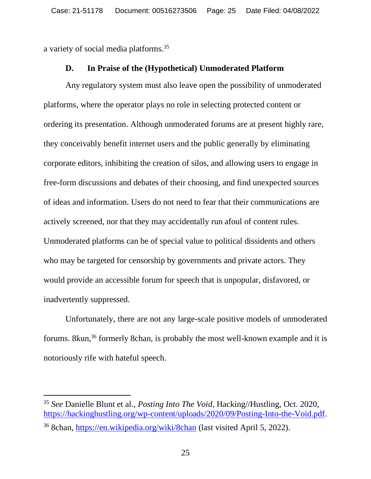a variety of social media platforms.<sup>35</sup>

#### **D. In Praise of the (Hypothetical) Unmoderated Platform**

Any regulatory system must also leave open the possibility of unmoderated platforms, where the operator plays no role in selecting protected content or ordering its presentation. Although unmoderated forums are at present highly rare, they conceivably benefit internet users and the public generally by eliminating corporate editors, inhibiting the creation of silos, and allowing users to engage in free-form discussions and debates of their choosing, and find unexpected sources of ideas and information. Users do not need to fear that their communications are actively screened, nor that they may accidentally run afoul of content rules. Unmoderated platforms can be of special value to political dissidents and others who may be targeted for censorship by governments and private actors. They would provide an accessible forum for speech that is unpopular, disfavored, or inadvertently suppressed.

Unfortunately, there are not any large-scale positive models of unmoderated forums. 8kun,<sup>36</sup> formerly 8chan, is probably the most well-known example and it is notoriously rife with hateful speech.

<sup>35</sup> *See* Danielle Blunt et al., *Posting Into The Void*, Hacking//Hustling, Oct. 2020, [https://hackinghustling.org/wp-content/uploads/2020/09/Posting-Into-the-Void.pdf.](https://hackinghustling.org/wp-content/uploads/2020/09/Posting-Into-the-Void.pdf)

<sup>36</sup> 8chan,<https://en.wikipedia.org/wiki/8chan> (last visited April 5, 2022).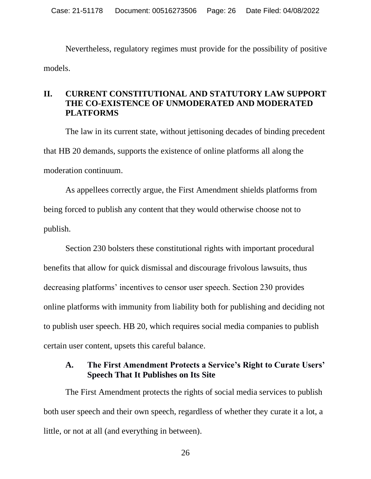Nevertheless, regulatory regimes must provide for the possibility of positive models.

#### **II. CURRENT CONSTITUTIONAL AND STATUTORY LAW SUPPORT THE CO-EXISTENCE OF UNMODERATED AND MODERATED PLATFORMS**

The law in its current state, without jettisoning decades of binding precedent that HB 20 demands, supports the existence of online platforms all along the moderation continuum.

As appellees correctly argue, the First Amendment shields platforms from being forced to publish any content that they would otherwise choose not to publish.

Section 230 bolsters these constitutional rights with important procedural benefits that allow for quick dismissal and discourage frivolous lawsuits, thus decreasing platforms' incentives to censor user speech. Section 230 provides online platforms with immunity from liability both for publishing and deciding not to publish user speech. HB 20, which requires social media companies to publish certain user content, upsets this careful balance.

# **A. The First Amendment Protects a Service's Right to Curate Users' Speech That It Publishes on Its Site**

The First Amendment protects the rights of social media services to publish both user speech and their own speech, regardless of whether they curate it a lot, a little, or not at all (and everything in between).

26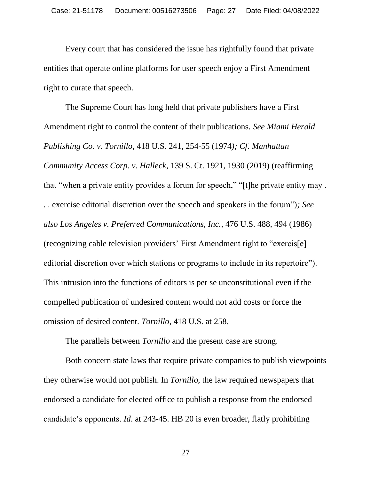Every court that has considered the issue has rightfully found that private entities that operate online platforms for user speech enjoy a First Amendment right to curate that speech.

The Supreme Court has long held that private publishers have a First Amendment right to control the content of their publications. *See Miami Herald Publishing Co. v. Tornillo*, 418 U.S. 241, 254-55 (1974*); Cf. Manhattan Community Access Corp. v. Halleck*, 139 S. Ct. 1921, 1930 (2019) (reaffirming that "when a private entity provides a forum for speech," "[t]he private entity may . . . exercise editorial discretion over the speech and speakers in the forum")*; See also Los Angeles v. Preferred Communications, Inc.*, 476 U.S. 488, 494 (1986) (recognizing cable television providers' First Amendment right to "exercis[e] editorial discretion over which stations or programs to include in its repertoire"). This intrusion into the functions of editors is per se unconstitutional even if the compelled publication of undesired content would not add costs or force the omission of desired content. *Tornillo*, 418 U.S. at 258.

The parallels between *Tornillo* and the present case are strong.

Both concern state laws that require private companies to publish viewpoints they otherwise would not publish. In *Tornillo*, the law required newspapers that endorsed a candidate for elected office to publish a response from the endorsed candidate's opponents. *Id*. at 243-45. HB 20 is even broader, flatly prohibiting

27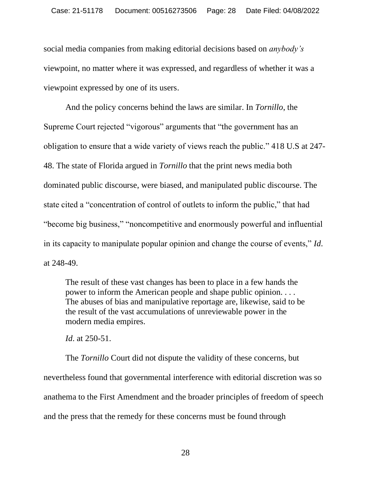social media companies from making editorial decisions based on *anybody's* viewpoint, no matter where it was expressed, and regardless of whether it was a viewpoint expressed by one of its users.

And the policy concerns behind the laws are similar. In *Tornillo*, the Supreme Court rejected "vigorous" arguments that "the government has an obligation to ensure that a wide variety of views reach the public." 418 U.S at 247- 48. The state of Florida argued in *Tornillo* that the print news media both dominated public discourse, were biased, and manipulated public discourse. The state cited a "concentration of control of outlets to inform the public," that had "become big business," "noncompetitive and enormously powerful and influential in its capacity to manipulate popular opinion and change the course of events," *Id*. at 248-49.

The result of these vast changes has been to place in a few hands the power to inform the American people and shape public opinion. . . . The abuses of bias and manipulative reportage are, likewise, said to be the result of the vast accumulations of unreviewable power in the modern media empires.

*Id*. at 250-51.

The *Tornillo* Court did not dispute the validity of these concerns, but nevertheless found that governmental interference with editorial discretion was so anathema to the First Amendment and the broader principles of freedom of speech and the press that the remedy for these concerns must be found through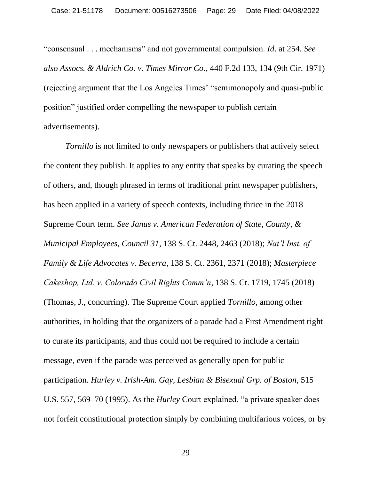"consensual . . . mechanisms" and not governmental compulsion. *Id*. at 254. *See also Assocs. & Aldrich Co. v. Times Mirror Co.*, 440 F.2d 133, 134 (9th Cir. 1971) (rejecting argument that the Los Angeles Times' "semimonopoly and quasi-public position" justified order compelling the newspaper to publish certain advertisements).

*Tornillo* is not limited to only newspapers or publishers that actively select the content they publish. It applies to any entity that speaks by curating the speech of others, and, though phrased in terms of traditional print newspaper publishers, has been applied in a variety of speech contexts, including thrice in the 2018 Supreme Court term*. See Janus v. American Federation of State, County, & Municipal Employees, Council 31*, 138 S. Ct. 2448, 2463 (2018); *Nat'l Inst. of Family & Life Advocates v. Becerra*, 138 S. Ct. 2361, 2371 (2018); *Masterpiece Cakeshop, Ltd. v. Colorado Civil Rights Comm'n*, 138 S. Ct. 1719, 1745 (2018) (Thomas, J., concurring). The Supreme Court applied *Tornillo*, among other authorities, in holding that the organizers of a parade had a First Amendment right to curate its participants, and thus could not be required to include a certain message, even if the parade was perceived as generally open for public participation. *Hurley v. Irish-Am. Gay, Lesbian & Bisexual Grp. of Boston*, 515 U.S. 557, 569–70 (1995). As the *Hurley* Court explained, "a private speaker does not forfeit constitutional protection simply by combining multifarious voices, or by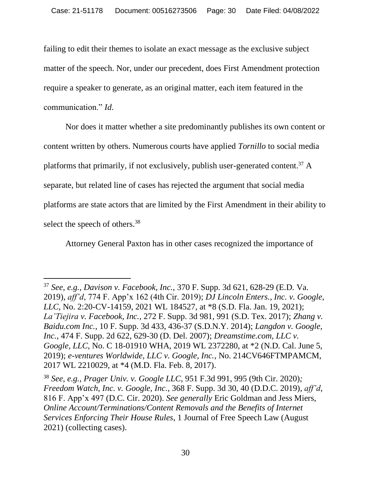failing to edit their themes to isolate an exact message as the exclusive subject matter of the speech. Nor, under our precedent, does First Amendment protection require a speaker to generate, as an original matter, each item featured in the communication." *Id*.

Nor does it matter whether a site predominantly publishes its own content or content written by others. Numerous courts have applied *Tornillo* to social media platforms that primarily, if not exclusively, publish user-generated content.<sup>37</sup> A separate, but related line of cases has rejected the argument that social media platforms are state actors that are limited by the First Amendment in their ability to select the speech of others.<sup>38</sup>

Attorney General Paxton has in other cases recognized the importance of

<sup>37</sup> *See, e.g., Davison v. Facebook, Inc.*, 370 F. Supp. 3d 621, 628-29 (E.D. Va. 2019), *aff'd*, 774 F. App'x 162 (4th Cir. 2019); *DJ Lincoln Enters., Inc. v. Google, LLC*, No. 2:20-CV-14159, 2021 WL 184527, at \*8 (S.D. Fla. Jan. 19, 2021); *La'Tiejira v. Facebook, Inc.*, 272 F. Supp. 3d 981, 991 (S.D. Tex. 2017); *Zhang v. Baidu.com Inc.*, 10 F. Supp. 3d 433, 436-37 (S.D.N.Y. 2014); *Langdon v. Google, Inc.*, 474 F. Supp. 2d 622, 629-30 (D. Del. 2007); *Dreamstime.com, LLC v. Google, LLC*, No. C 18-01910 WHA, 2019 WL 2372280, at \*2 (N.D. Cal. June 5, 2019); *e-ventures Worldwide, LLC v. Google, Inc.*, No. 214CV646FTMPAMCM, 2017 WL 2210029, at \*4 (M.D. Fla. Feb. 8, 2017).

<sup>38</sup> *See, e.g.*, *Prager Univ. v. Google LLC*, 951 F.3d 991, 995 (9th Cir. 2020)*; Freedom Watch, Inc. v. Google, Inc.*, 368 F. Supp. 3d 30, 40 (D.D.C. 2019), *aff'd*, 816 F. App'x 497 (D.C. Cir. 2020). *See generally* Eric Goldman and Jess Miers, *Online Account/Terminations/Content Removals and the Benefits of Internet Services Enforcing Their House Rules*, 1 Journal of Free Speech Law (August 2021) (collecting cases).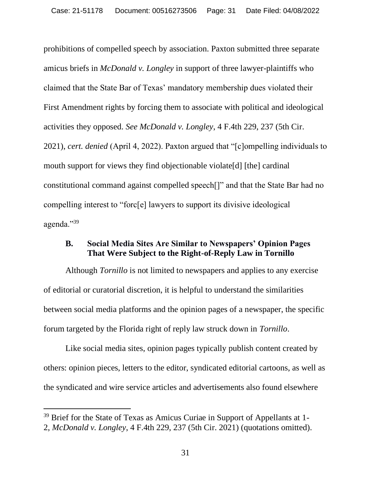prohibitions of compelled speech by association. Paxton submitted three separate amicus briefs in *McDonald v. Longley* in support of three lawyer-plaintiffs who claimed that the State Bar of Texas' mandatory membership dues violated their First Amendment rights by forcing them to associate with political and ideological activities they opposed. *See McDonald v. Longley*, 4 F.4th 229, 237 (5th Cir. 2021), *cert. denied* (April 4, 2022). Paxton argued that "[c]ompelling individuals to mouth support for views they find objectionable violate[d] [the] cardinal constitutional command against compelled speech[]" and that the State Bar had no compelling interest to "forc[e] lawyers to support its divisive ideological agenda."<sup>39</sup>

#### **B. Social Media Sites Are Similar to Newspapers' Opinion Pages That Were Subject to the Right-of-Reply Law in Tornillo**

Although *Tornillo* is not limited to newspapers and applies to any exercise of editorial or curatorial discretion, it is helpful to understand the similarities between social media platforms and the opinion pages of a newspaper, the specific forum targeted by the Florida right of reply law struck down in *Tornillo*.

Like social media sites, opinion pages typically publish content created by others: opinion pieces, letters to the editor, syndicated editorial cartoons, as well as the syndicated and wire service articles and advertisements also found elsewhere

<sup>&</sup>lt;sup>39</sup> Brief for the State of Texas as Amicus Curiae in Support of Appellants at 1-2, *McDonald v. Longley*, 4 F.4th 229, 237 (5th Cir. 2021) (quotations omitted).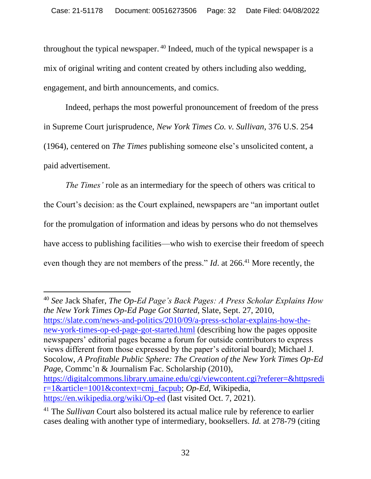throughout the typical newspaper. <sup>40</sup> Indeed, much of the typical newspaper is a mix of original writing and content created by others including also wedding, engagement, and birth announcements, and comics.

Indeed, perhaps the most powerful pronouncement of freedom of the press in Supreme Court jurisprudence, *New York Times Co. v. Sullivan*, 376 U.S. 254 (1964), centered on *The Times* publishing someone else's unsolicited content, a paid advertisement.

*The Times'* role as an intermediary for the speech of others was critical to the Court's decision: as the Court explained, newspapers are "an important outlet for the promulgation of information and ideas by persons who do not themselves have access to publishing facilities—who wish to exercise their freedom of speech even though they are not members of the press." *Id.* at 266.<sup>41</sup> More recently, the

<sup>40</sup> *See* Jack Shafer, *The Op-Ed Page's Back Pages: A Press Scholar Explains How the New York Times Op-Ed Page Got Started*, Slate, Sept. 27, 2010, [https://slate.com/news-and-politics/2010/09/a-press-scholar-explains-how-the](https://slate.com/news-and-politics/2010/09/a-press-scholar-explains-how-the-new-york-times-op-ed-page-got-started.html)[new-york-times-op-ed-page-got-started.html](https://slate.com/news-and-politics/2010/09/a-press-scholar-explains-how-the-new-york-times-op-ed-page-got-started.html) (describing how the pages opposite newspapers' editorial pages became a forum for outside contributors to express views different from those expressed by the paper's editorial board); Michael J. Socolow, *A Profitable Public Sphere: The Creation of the New York Times Op-Ed Pag*e, Commc'n & Journalism Fac. Scholarship (2010), [https://digitalcommons.library.umaine.edu/cgi/viewcontent.cgi?referer=&httpsredi](https://digitalcommons.library.umaine.edu/cgi/viewcontent.cgi?referer=&httpsredir=1&article=1001&context=cmj_facpub) [r=1&article=1001&context=cmj\\_facpub;](https://digitalcommons.library.umaine.edu/cgi/viewcontent.cgi?referer=&httpsredir=1&article=1001&context=cmj_facpub) *Op-Ed*, Wikipedia, <https://en.wikipedia.org/wiki/Op-ed> (last visited Oct. 7, 2021).

<sup>41</sup> The *Sullivan* Court also bolstered its actual malice rule by reference to earlier cases dealing with another type of intermediary, booksellers. *Id.* at 278-79 (citing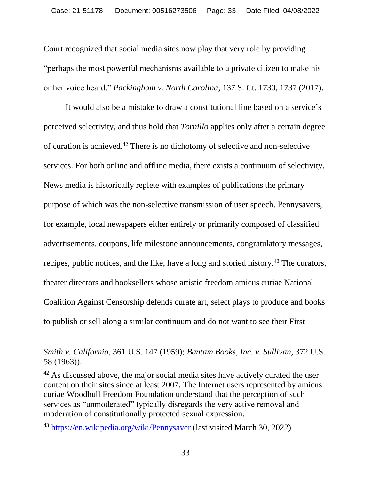Court recognized that social media sites now play that very role by providing "perhaps the most powerful mechanisms available to a private citizen to make his or her voice heard." *Packingham v. North Carolina*, 137 S. Ct. 1730, 1737 (2017).

It would also be a mistake to draw a constitutional line based on a service's perceived selectivity, and thus hold that *Tornillo* applies only after a certain degree of curation is achieved.<sup>42</sup> There is no dichotomy of selective and non-selective services. For both online and offline media, there exists a continuum of selectivity. News media is historically replete with examples of publications the primary purpose of which was the non-selective transmission of user speech. Pennysavers, for example, local newspapers either entirely or primarily composed of classified advertisements, coupons, life milestone announcements, congratulatory messages, recipes, public notices, and the like, have a long and storied history.<sup>43</sup> The curators, theater directors and booksellers whose artistic freedom amicus curiae National Coalition Against Censorship defends curate art, select plays to produce and books to publish or sell along a similar continuum and do not want to see their First

*Smith v. California*, 361 U.S. 147 (1959); *Bantam Books, Inc. v. Sullivan*, 372 U.S. 58 (1963)).

 $42$  As discussed above, the major social media sites have actively curated the user content on their sites since at least 2007. The Internet users represented by amicus curiae Woodhull Freedom Foundation understand that the perception of such services as "unmoderated" typically disregards the very active removal and moderation of constitutionally protected sexual expression.

<sup>43</sup> <https://en.wikipedia.org/wiki/Pennysaver> (last visited March 30, 2022)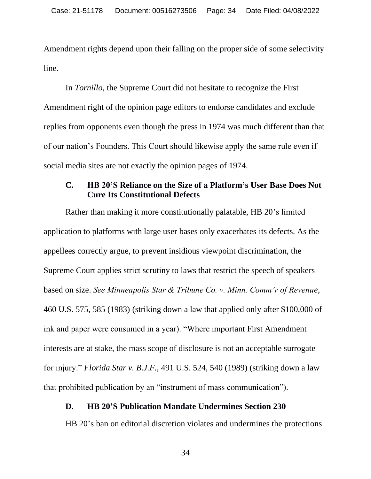Amendment rights depend upon their falling on the proper side of some selectivity line.

In *Tornillo*, the Supreme Court did not hesitate to recognize the First Amendment right of the opinion page editors to endorse candidates and exclude replies from opponents even though the press in 1974 was much different than that of our nation's Founders. This Court should likewise apply the same rule even if social media sites are not exactly the opinion pages of 1974.

#### **C. HB 20'S Reliance on the Size of a Platform's User Base Does Not Cure Its Constitutional Defects**

Rather than making it more constitutionally palatable, HB 20's limited application to platforms with large user bases only exacerbates its defects. As the appellees correctly argue, to prevent insidious viewpoint discrimination, the Supreme Court applies strict scrutiny to laws that restrict the speech of speakers based on size. *See Minneapolis Star & Tribune Co. v. Minn. Comm'r of Revenue*, 460 U.S. 575, 585 (1983) (striking down a law that applied only after \$100,000 of ink and paper were consumed in a year). "Where important First Amendment interests are at stake, the mass scope of disclosure is not an acceptable surrogate for injury." *Florida Star v. B.J.F.*, 491 U.S. 524, 540 (1989) (striking down a law that prohibited publication by an "instrument of mass communication").

#### **D. HB 20'S Publication Mandate Undermines Section 230**

HB 20's ban on editorial discretion violates and undermines the protections

34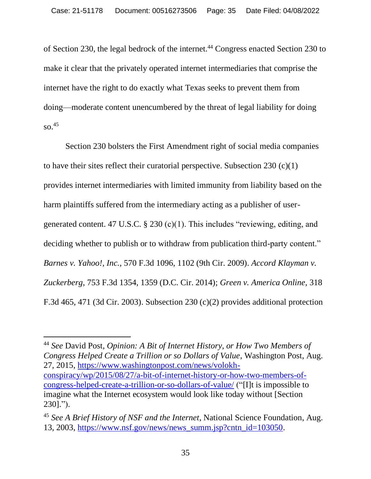of Section 230, the legal bedrock of the internet.<sup>44</sup> Congress enacted Section 230 to make it clear that the privately operated internet intermediaries that comprise the internet have the right to do exactly what Texas seeks to prevent them from doing—moderate content unencumbered by the threat of legal liability for doing  $\mathrm{SO}$ <sup>45</sup>

Section 230 bolsters the First Amendment right of social media companies to have their sites reflect their curatorial perspective. Subsection  $230 \text{ (c)}(1)$ provides internet intermediaries with limited immunity from liability based on the harm plaintiffs suffered from the intermediary acting as a publisher of usergenerated content. 47 U.S.C. § 230 (c)(1). This includes "reviewing, editing, and deciding whether to publish or to withdraw from publication third-party content." *Barnes v. Yahoo!, Inc.*, 570 F.3d 1096, 1102 (9th Cir. 2009). *Accord Klayman v. Zuckerberg*, 753 F.3d 1354, 1359 (D.C. Cir. 2014); *Green v. America Online*, 318 F.3d 465, 471 (3d Cir. 2003). Subsection 230 (c)(2) provides additional protection

<sup>44</sup> *See* David Post, *Opinion: A Bit of Internet History, or How Two Members of Congress Helped Create a Trillion or so Dollars of Value*, Washington Post, Aug. 27, 2015, [https://www.washingtonpost.com/news/volokh](https://www.washingtonpost.com/news/volokh-conspiracy/wp/2015/08/27/a-bit-of-internet-history-or-how-two-members-of-congress-helped-create-a-trillion-or-so-dollars-of-value/)[conspiracy/wp/2015/08/27/a-bit-of-internet-history-or-how-two-members-of](https://www.washingtonpost.com/news/volokh-conspiracy/wp/2015/08/27/a-bit-of-internet-history-or-how-two-members-of-congress-helped-create-a-trillion-or-so-dollars-of-value/)[congress-helped-create-a-trillion-or-so-dollars-of-value/](https://www.washingtonpost.com/news/volokh-conspiracy/wp/2015/08/27/a-bit-of-internet-history-or-how-two-members-of-congress-helped-create-a-trillion-or-so-dollars-of-value/) ("[I]t is impossible to imagine what the Internet ecosystem would look like today without [Section 230].").

<sup>45</sup> *See A Brief History of NSF and the Internet*, National Science Foundation, Aug. 13, 2003, [https://www.nsf.gov/news/news\\_summ.jsp?cntn\\_id=103050.](https://www.nsf.gov/news/news_summ.jsp?cntn_id=103050)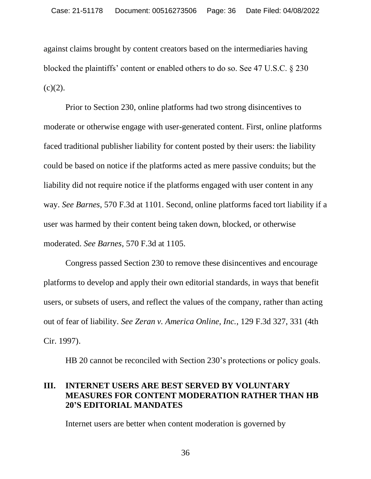against claims brought by content creators based on the intermediaries having blocked the plaintiffs' content or enabled others to do so. See 47 U.S.C. § 230  $(c)(2)$ .

Prior to Section 230, online platforms had two strong disincentives to moderate or otherwise engage with user-generated content. First, online platforms faced traditional publisher liability for content posted by their users: the liability could be based on notice if the platforms acted as mere passive conduits; but the liability did not require notice if the platforms engaged with user content in any way. *See Barnes*, 570 F.3d at 1101. Second, online platforms faced tort liability if a user was harmed by their content being taken down, blocked, or otherwise moderated. *See Barnes*, 570 F.3d at 1105.

Congress passed Section 230 to remove these disincentives and encourage platforms to develop and apply their own editorial standards, in ways that benefit users, or subsets of users, and reflect the values of the company, rather than acting out of fear of liability. *See Zeran v. America Online, Inc.*, 129 F.3d 327, 331 (4th Cir. 1997).

HB 20 cannot be reconciled with Section 230's protections or policy goals.

#### **III. INTERNET USERS ARE BEST SERVED BY VOLUNTARY MEASURES FOR CONTENT MODERATION RATHER THAN HB 20'S EDITORIAL MANDATES**

Internet users are better when content moderation is governed by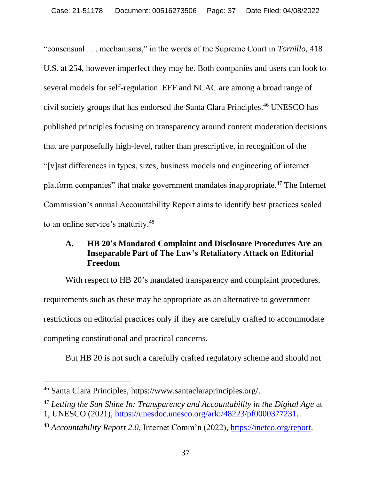"consensual . . . mechanisms," in the words of the Supreme Court in *Tornillo*, 418 U.S. at 254, however imperfect they may be. Both companies and users can look to several models for self-regulation. EFF and NCAC are among a broad range of civil society groups that has endorsed the Santa Clara Principles.<sup>46</sup> UNESCO has published principles focusing on transparency around content moderation decisions that are purposefully high-level, rather than prescriptive, in recognition of the "[v]ast differences in types, sizes, business models and engineering of internet platform companies" that make government mandates inappropriate.<sup>47</sup> The Internet Commission's annual Accountability Report aims to identify best practices scaled to an online service's maturity.<sup>48</sup>

# **A. HB 20's Mandated Complaint and Disclosure Procedures Are an Inseparable Part of The Law's Retaliatory Attack on Editorial Freedom**

With respect to HB 20's mandated transparency and complaint procedures, requirements such as these may be appropriate as an alternative to government restrictions on editorial practices only if they are carefully crafted to accommodate competing constitutional and practical concerns.

But HB 20 is not such a carefully crafted regulatory scheme and should not

<sup>46</sup> Santa Clara Principles, https://www.santaclaraprinciples.org/.

<sup>47</sup> *Letting the Sun Shine In: Transparency and Accountability in the Digital Age* at 1, UNESCO (2021), [https://unesdoc.unesco.org/ark:/48223/pf0000377231.](https://unesdoc.unesco.org/ark:/48223/pf0000377231)

<sup>48</sup> *Accountability Report 2.0*, Internet Comm'n (2022), [https://inetco.org/report.](https://inetco.org/report)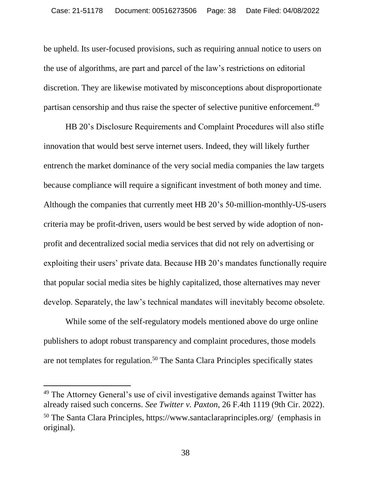be upheld. Its user-focused provisions, such as requiring annual notice to users on the use of algorithms, are part and parcel of the law's restrictions on editorial discretion. They are likewise motivated by misconceptions about disproportionate partisan censorship and thus raise the specter of selective punitive enforcement.<sup>49</sup>

HB 20's Disclosure Requirements and Complaint Procedures will also stifle innovation that would best serve internet users. Indeed, they will likely further entrench the market dominance of the very social media companies the law targets because compliance will require a significant investment of both money and time. Although the companies that currently meet HB 20's 50-million-monthly-US-users criteria may be profit-driven, users would be best served by wide adoption of nonprofit and decentralized social media services that did not rely on advertising or exploiting their users' private data. Because HB 20's mandates functionally require that popular social media sites be highly capitalized, those alternatives may never develop. Separately, the law's technical mandates will inevitably become obsolete.

While some of the self-regulatory models mentioned above do urge online publishers to adopt robust transparency and complaint procedures, those models are not templates for regulation.<sup>50</sup> The Santa Clara Principles specifically states

<sup>&</sup>lt;sup>49</sup> The Attorney General's use of civil investigative demands against Twitter has already raised such concerns. *See Twitter v. Paxton*, 26 F.4th 1119 (9th Cir. 2022). <sup>50</sup> The Santa Clara Principles, https://www.santaclaraprinciples.org/ (emphasis in original).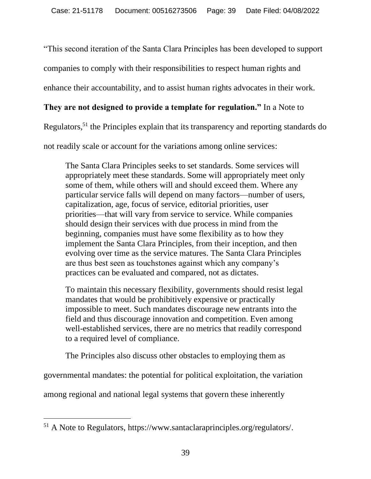"This second iteration of the Santa Clara Principles has been developed to support

companies to comply with their responsibilities to respect human rights and

enhance their accountability, and to assist human rights advocates in their work.

#### **They are not designed to provide a template for regulation."** In a Note to

Regulators,<sup>51</sup> the Principles explain that its transparency and reporting standards do

not readily scale or account for the variations among online services:

The Santa Clara Principles seeks to set standards. Some services will appropriately meet these standards. Some will appropriately meet only some of them, while others will and should exceed them. Where any particular service falls will depend on many factors—number of users, capitalization, age, focus of service, editorial priorities, user priorities—that will vary from service to service. While companies should design their services with due process in mind from the beginning, companies must have some flexibility as to how they implement the Santa Clara Principles, from their inception, and then evolving over time as the service matures. The Santa Clara Principles are thus best seen as touchstones against which any company's practices can be evaluated and compared, not as dictates.

To maintain this necessary flexibility, governments should resist legal mandates that would be prohibitively expensive or practically impossible to meet. Such mandates discourage new entrants into the field and thus discourage innovation and competition. Even among well-established services, there are no metrics that readily correspond to a required level of compliance.

The Principles also discuss other obstacles to employing them as

governmental mandates: the potential for political exploitation, the variation

among regional and national legal systems that govern these inherently

<sup>51</sup> A Note to Regulators, https://www.santaclaraprinciples.org/regulators/.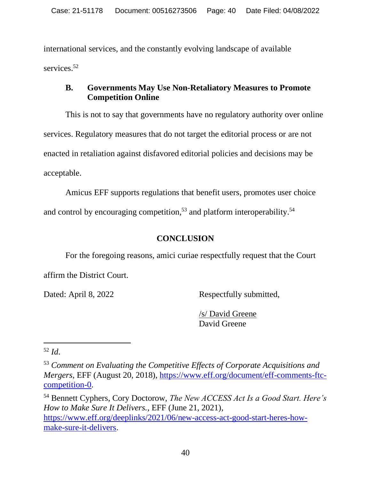international services, and the constantly evolving landscape of available services.<sup>52</sup>

# **B. Governments May Use Non-Retaliatory Measures to Promote Competition Online**

This is not to say that governments have no regulatory authority over online services. Regulatory measures that do not target the editorial process or are not enacted in retaliation against disfavored editorial policies and decisions may be acceptable.

Amicus EFF supports regulations that benefit users, promotes user choice and control by encouraging competition,<sup>53</sup> and platform interoperability.<sup>54</sup>

# **CONCLUSION**

For the foregoing reasons, amici curiae respectfully request that the Court

affirm the District Court.

Dated: April 8, 2022 Respectfully submitted,

/s/ David Greene David Greene

<sup>52</sup> *Id*.

<sup>53</sup> *Comment on Evaluating the Competitive Effects of Corporate Acquisitions and Mergers*, EFF (August 20, 2018), [https://www.eff.org/document/eff-comments-ftc](https://www.eff.org/document/eff-comments-ftc-competition-0)[competition-0.](https://www.eff.org/document/eff-comments-ftc-competition-0)

<sup>54</sup> Bennett Cyphers, Cory Doctorow, *The New ACCESS Act Is a Good Start. Here's How to Make Sure It Delivers.*, EFF (June 21, 2021), [https://www.eff.org/deeplinks/2021/06/new-access-act-good-start-heres-how](https://www.eff.org/deeplinks/2021/06/new-access-act-good-start-heres-how-make-sure-it-delivers)[make-sure-it-delivers.](https://www.eff.org/deeplinks/2021/06/new-access-act-good-start-heres-how-make-sure-it-delivers)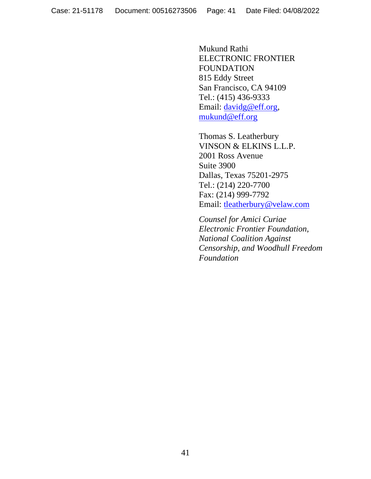Mukund Rathi ELECTRONIC FRONTIER FOUNDATION 815 Eddy Street San Francisco, CA 94109 Tel.: (415) 436-9333 Email: [davidg@eff.org,](mailto:davidg@eff.org) [mukund@eff.org](mailto:mukund@eff.org)

Thomas S. Leatherbury VINSON & ELKINS L.L.P. 2001 Ross Avenue Suite 3900 Dallas, Texas 75201-2975 Tel.: (214) 220-7700 Fax: (214) 999-7792 Email: [tleatherbury@velaw.com](mailto:tleatherbury@velaw.com)

*Counsel for Amici Curiae Electronic Frontier Foundation, National Coalition Against Censorship, and Woodhull Freedom Foundation*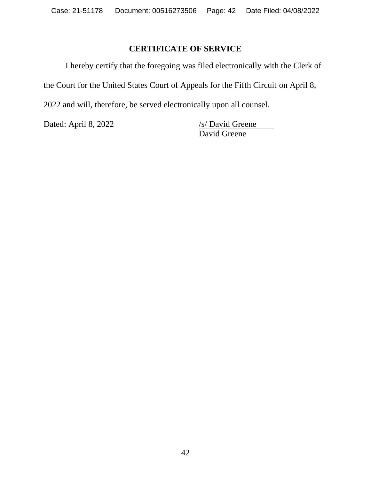# **CERTIFICATE OF SERVICE**

I hereby certify that the foregoing was filed electronically with the Clerk of

the Court for the United States Court of Appeals for the Fifth Circuit on April 8,

2022 and will, therefore, be served electronically upon all counsel.

Dated: April 8, 2022 /s/ David Greene

David Greene